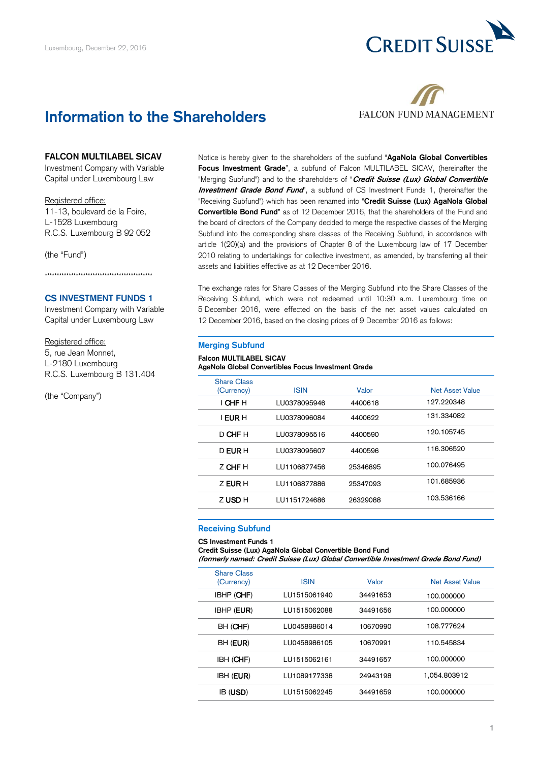

# **Information to the Shareholders**



## **FALCON MULTILABEL SICAV**

Investment Company with Variable Capital under Luxembourg Law

### Registered office:

11-13, boulevard de la Foire, L-1528 Luxembourg R.C.S. Luxembourg B 92 052

(the "Fund")

\*\*\*\*\*\*\*\*\*\*\*\*\*\*\*\*\*\*\*\*\*\*\*\*\*\*\*\*\*\*\*\*\*\*\*\*\*\*\*\*\*\*\*\*\*

# **CS INVESTMENT FUNDS 1**

Investment Company with Variable Capital under Luxembourg Law

## Registered office:

5, rue Jean Monnet, L-2180 Luxembourg R.C.S. Luxembourg B 131.404

(the "Company")

Notice is hereby given to the shareholders of the subfund "**AgaNola Global Convertibles Focus Investment Grade**", a subfund of Falcon MULTILABEL SICAV, (hereinafter the "Merging Subfund") and to the shareholders of "**Credit Suisse (Lux) Global Convertible Investment Grade Bond Fund**", a subfund of CS Investment Funds 1, (hereinafter the "Receiving Subfund") which has been renamed into "**Credit Suisse (Lux) AgaNola Global Convertible Bond Fund**" as of 12 December 2016, that the shareholders of the Fund and the board of directors of the Company decided to merge the respective classes of the Merging Subfund into the corresponding share classes of the Receiving Subfund, in accordance with article 1(20)(a) and the provisions of Chapter 8 of the Luxembourg law of 17 December 2010 relating to undertakings for collective investment, as amended, by transferring all their assets and liabilities effective as at 12 December 2016.

The exchange rates for Share Classes of the Merging Subfund into the Share Classes of the Receiving Subfund, which were not redeemed until 10:30 a.m. Luxembourg time on 5 December 2016, were effected on the basis of the net asset values calculated on 12 December 2016, based on the closing prices of 9 December 2016 as follows:

#### **Merging Subfund**

### **Falcon MULTILABEL SICAV AgaNola Global Convertibles Focus Investment Grade**

| <b>Share Class</b><br>(Currency) | <b>ISIN</b>  | Valor    | <b>Net Asset Value</b> |
|----------------------------------|--------------|----------|------------------------|
| I CHF H                          | LU0378095946 | 4400618  | 127.220348             |
| I EUR H                          | LU0378096084 | 4400622  | 131.334082             |
| D CHF H                          | LU0378095516 | 4400590  | 120.105745             |
| D EUR H                          | LU0378095607 | 4400596  | 116.306520             |
| Z CHF H                          | LU1106877456 | 25346895 | 100.076495             |
| Z EUR H                          | LU1106877886 | 25347093 | 101.685936             |
| Z USD H                          | LU1151724686 | 26329088 | 103.536166             |
|                                  |              |          |                        |

### **Receiving Subfund**

#### **CS Investment Funds 1**

**Credit Suisse (Lux) AgaNola Global Convertible Bond Fund**

**(formerly named: Credit Suisse (Lux) Global Convertible Investment Grade Bond Fund)**

| <b>Share Class</b><br>(Currency) | <b>ISIN</b>  | Valor    | <b>Net Asset Value</b> |
|----------------------------------|--------------|----------|------------------------|
| <b>IBHP (CHF)</b>                | LU1515061940 | 34491653 | 100.000000             |
| <b>IBHP (EUR)</b>                | LU1515062088 | 34491656 | 100.000000             |
| BH (CHF)                         | LU0458986014 | 10670990 | 108.777624             |
| BH ( <b>EUR</b> )                | LU0458986105 | 10670991 | 110.545834             |
| IBH (CHF)                        | 111515062161 | 34491657 | 100.000000             |
| <b>IBH (EUR)</b>                 | LU1089177338 | 24943198 | 1.054.803912           |
| IB ( <b>USD</b> )                | 111515062245 | 34491659 | 100.000000             |